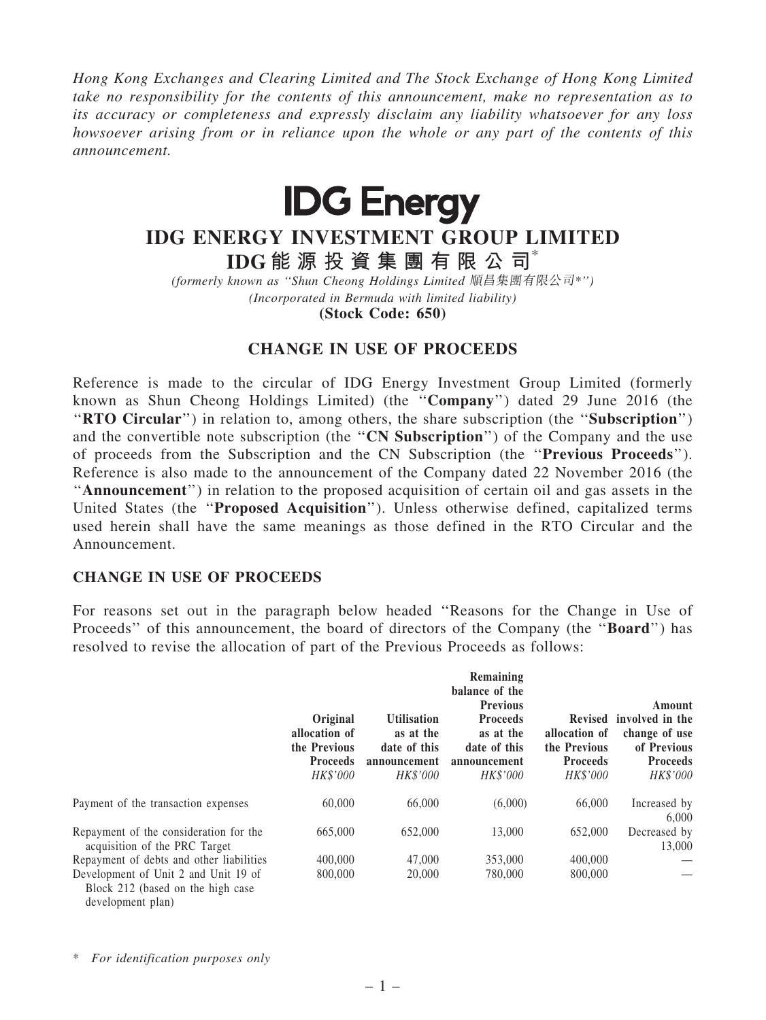*Hong Kong Exchanges and Clearing Limited and The Stock Exchange of Hong Kong Limited take no responsibility for the contents of this announcement, make no representation as to its accuracy or completeness and expressly disclaim any liability whatsoever for any loss howsoever arising from or in reliance upon the whole or any part of the contents of this announcement.*



## IDG ENERGY INVESTMENT GROUP LIMITED

IDG 能 源 投 資 集 團 有 限 公 司\*

*(formerly known as* ''*Shun Cheong Holdings Limited* 順昌集團有限公司*\**''*) (Incorporated in Bermuda with limited liability)*

(Stock Code: 650)

## CHANGE IN USE OF PROCEEDS

Reference is made to the circular of IDG Energy Investment Group Limited (formerly known as Shun Cheong Holdings Limited) (the ''Company'') dated 29 June 2016 (the "RTO Circular") in relation to, among others, the share subscription (the "Subscription") and the convertible note subscription (the "CN Subscription") of the Company and the use of proceeds from the Subscription and the CN Subscription (the ''Previous Proceeds''). Reference is also made to the announcement of the Company dated 22 November 2016 (the ''Announcement'') in relation to the proposed acquisition of certain oil and gas assets in the United States (the ''Proposed Acquisition''). Unless otherwise defined, capitalized terms used herein shall have the same meanings as those defined in the RTO Circular and the Announcement.

## CHANGE IN USE OF PROCEEDS

For reasons set out in the paragraph below headed ''Reasons for the Change in Use of Proceeds" of this announcement, the board of directors of the Company (the "Board") has resolved to revise the allocation of part of the Previous Proceeds as follows:

|                                                                                                | Original<br>allocation of<br>the Previous<br><b>Proceeds</b><br>HK\$'000 | <b>Utilisation</b><br>as at the<br>date of this<br>announcement<br>HK\$'000 | Remaining<br>balance of the<br><b>Previous</b><br><b>Proceeds</b><br>as at the<br>date of this<br>announcement<br>HK\$'000 | allocation of<br>the Previous<br><b>Proceeds</b><br><b>HK\$'000</b> | Amount<br>Revised involved in the<br>change of use<br>of Previous<br><b>Proceeds</b><br>HK\$'000 |
|------------------------------------------------------------------------------------------------|--------------------------------------------------------------------------|-----------------------------------------------------------------------------|----------------------------------------------------------------------------------------------------------------------------|---------------------------------------------------------------------|--------------------------------------------------------------------------------------------------|
| Payment of the transaction expenses                                                            | 60,000                                                                   | 66,000                                                                      | (6,000)                                                                                                                    | 66,000                                                              | Increased by<br>6.000                                                                            |
| Repayment of the consideration for the<br>acquisition of the PRC Target                        | 665,000                                                                  | 652,000                                                                     | 13,000                                                                                                                     | 652,000                                                             | Decreased by<br>13,000                                                                           |
| Repayment of debts and other liabilities                                                       | 400,000                                                                  | 47,000                                                                      | 353,000                                                                                                                    | 400,000                                                             |                                                                                                  |
| Development of Unit 2 and Unit 19 of<br>Block 212 (based on the high case<br>development plan) | 800,000                                                                  | 20,000                                                                      | 780,000                                                                                                                    | 800,000                                                             |                                                                                                  |

\* *For identification purposes only*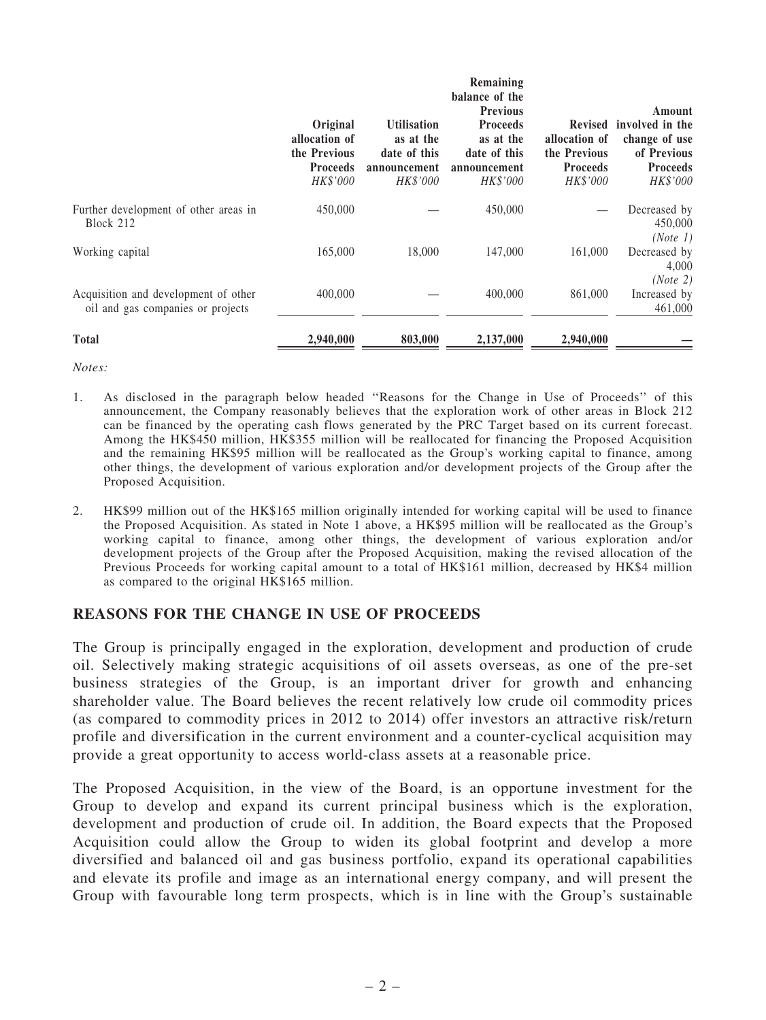|                                                                           | Original<br>allocation of<br>the Previous<br><b>Proceeds</b><br>HK\$'000 | <b>Utilisation</b><br>as at the<br>date of this<br>announcement<br>HK\$'000 | Remaining<br>balance of the<br><b>Previous</b><br><b>Proceeds</b><br>as at the<br>date of this<br>announcement<br>HK\$'000 | allocation of<br>the Previous<br><b>Proceeds</b><br>HK\$'000 | Amount<br>Revised involved in the<br>change of use<br>of Previous<br><b>Proceeds</b><br>HK\$'000 |
|---------------------------------------------------------------------------|--------------------------------------------------------------------------|-----------------------------------------------------------------------------|----------------------------------------------------------------------------------------------------------------------------|--------------------------------------------------------------|--------------------------------------------------------------------------------------------------|
| Further development of other areas in<br>Block 212                        | 450,000                                                                  |                                                                             | 450,000                                                                                                                    |                                                              | Decreased by<br>450,000<br>(Note 1)                                                              |
| Working capital                                                           | 165,000                                                                  | 18,000                                                                      | 147,000                                                                                                                    | 161,000                                                      | Decreased by<br>4,000<br>(Note 2)                                                                |
| Acquisition and development of other<br>oil and gas companies or projects | 400,000                                                                  |                                                                             | 400,000                                                                                                                    | 861,000                                                      | Increased by<br>461,000                                                                          |
| <b>Total</b>                                                              | 2,940,000                                                                | 803,000                                                                     | 2,137,000                                                                                                                  | 2.940.000                                                    |                                                                                                  |

*Notes:*

- 1. As disclosed in the paragraph below headed ''Reasons for the Change in Use of Proceeds'' of this announcement, the Company reasonably believes that the exploration work of other areas in Block 212 can be financed by the operating cash flows generated by the PRC Target based on its current forecast. Among the HK\$450 million, HK\$355 million will be reallocated for financing the Proposed Acquisition and the remaining HK\$95 million will be reallocated as the Group's working capital to finance, among other things, the development of various exploration and/or development projects of the Group after the Proposed Acquisition.
- 2. HK\$99 million out of the HK\$165 million originally intended for working capital will be used to finance the Proposed Acquisition. As stated in Note 1 above, a HK\$95 million will be reallocated as the Group's working capital to finance, among other things, the development of various exploration and/or development projects of the Group after the Proposed Acquisition, making the revised allocation of the Previous Proceeds for working capital amount to a total of HK\$161 million, decreased by HK\$4 million as compared to the original HK\$165 million.

## REASONS FOR THE CHANGE IN USE OF PROCEEDS

The Group is principally engaged in the exploration, development and production of crude oil. Selectively making strategic acquisitions of oil assets overseas, as one of the pre-set business strategies of the Group, is an important driver for growth and enhancing shareholder value. The Board believes the recent relatively low crude oil commodity prices (as compared to commodity prices in 2012 to 2014) offer investors an attractive risk/return profile and diversification in the current environment and a counter-cyclical acquisition may provide a great opportunity to access world-class assets at a reasonable price.

The Proposed Acquisition, in the view of the Board, is an opportune investment for the Group to develop and expand its current principal business which is the exploration, development and production of crude oil. In addition, the Board expects that the Proposed Acquisition could allow the Group to widen its global footprint and develop a more diversified and balanced oil and gas business portfolio, expand its operational capabilities and elevate its profile and image as an international energy company, and will present the Group with favourable long term prospects, which is in line with the Group's sustainable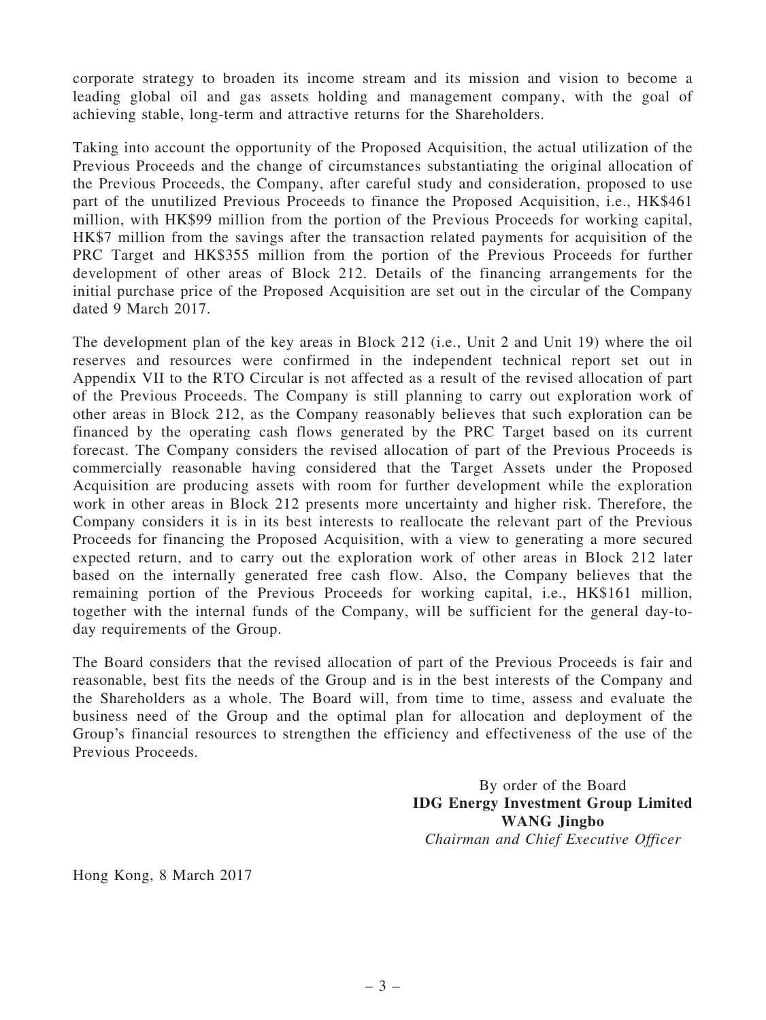corporate strategy to broaden its income stream and its mission and vision to become a leading global oil and gas assets holding and management company, with the goal of achieving stable, long-term and attractive returns for the Shareholders.

Taking into account the opportunity of the Proposed Acquisition, the actual utilization of the Previous Proceeds and the change of circumstances substantiating the original allocation of the Previous Proceeds, the Company, after careful study and consideration, proposed to use part of the unutilized Previous Proceeds to finance the Proposed Acquisition, i.e., HK\$461 million, with HK\$99 million from the portion of the Previous Proceeds for working capital, HK\$7 million from the savings after the transaction related payments for acquisition of the PRC Target and HK\$355 million from the portion of the Previous Proceeds for further development of other areas of Block 212. Details of the financing arrangements for the initial purchase price of the Proposed Acquisition are set out in the circular of the Company dated 9 March 2017.

The development plan of the key areas in Block 212 (i.e., Unit 2 and Unit 19) where the oil reserves and resources were confirmed in the independent technical report set out in Appendix VII to the RTO Circular is not affected as a result of the revised allocation of part of the Previous Proceeds. The Company is still planning to carry out exploration work of other areas in Block 212, as the Company reasonably believes that such exploration can be financed by the operating cash flows generated by the PRC Target based on its current forecast. The Company considers the revised allocation of part of the Previous Proceeds is commercially reasonable having considered that the Target Assets under the Proposed Acquisition are producing assets with room for further development while the exploration work in other areas in Block 212 presents more uncertainty and higher risk. Therefore, the Company considers it is in its best interests to reallocate the relevant part of the Previous Proceeds for financing the Proposed Acquisition, with a view to generating a more secured expected return, and to carry out the exploration work of other areas in Block 212 later based on the internally generated free cash flow. Also, the Company believes that the remaining portion of the Previous Proceeds for working capital, i.e., HK\$161 million, together with the internal funds of the Company, will be sufficient for the general day-today requirements of the Group.

The Board considers that the revised allocation of part of the Previous Proceeds is fair and reasonable, best fits the needs of the Group and is in the best interests of the Company and the Shareholders as a whole. The Board will, from time to time, assess and evaluate the business need of the Group and the optimal plan for allocation and deployment of the Group's financial resources to strengthen the efficiency and effectiveness of the use of the Previous Proceeds.

> By order of the Board IDG Energy Investment Group Limited WANG Jingbo *Chairman and Chief Executive Officer*

Hong Kong, 8 March 2017